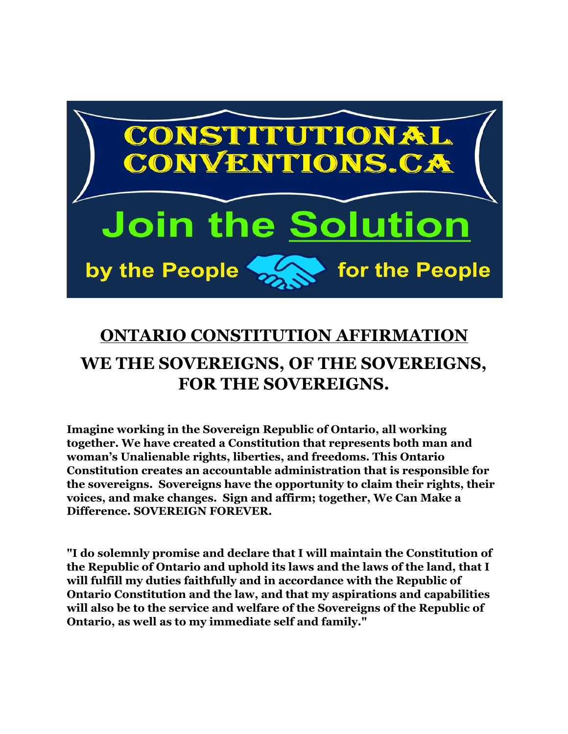

# **ONTARIO CONSTITUTION AFFIRMATION WE THE SOVEREIGNS, OF THE SOVEREIGNS, FOR THE SOVEREIGNS.**

**Imagine working in the Sovereign Republic of Ontario, all working together. We have created a Constitution that represents both man and woman's Unalienable rights, liberties, and freedoms. This Ontario Constitution creates an accountable administration that is responsible for the sovereigns. Sovereigns have the opportunity to claim their rights, their voices, and make changes. Sign and affirm; together, We Can Make a Difference. SOVEREIGN FOREVER.**

**"I do solemnly promise and declare that I will maintain the Constitution of the Republic of Ontario and uphold its laws and the laws of the land, that I will fulfill my duties faithfully and in accordance with the Republic of Ontario Constitution and the law, and that my aspirations and capabilities will also be to the service and welfare of the Sovereigns of the Republic of Ontario, as well as to my immediate self and family."**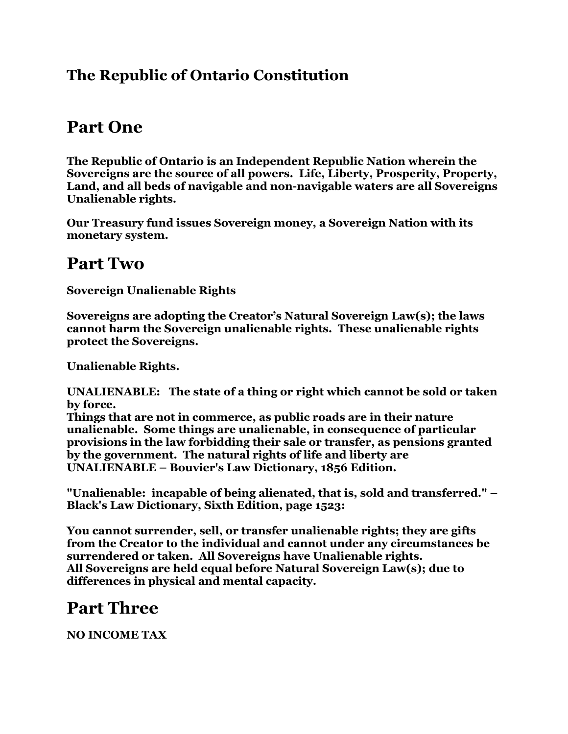#### **The Republic of Ontario Constitution**

## **Part One**

**The Republic of Ontario is an Independent Republic Nation wherein the Sovereigns are the source of all powers. Life, Liberty, Prosperity, Property, Land, and all beds of navigable and non-navigable waters are all Sovereigns Unalienable rights.**

**Our Treasury fund issues Sovereign money, a Sovereign Nation with its monetary system.**

#### **Part Two**

**Sovereign Unalienable Rights**

**Sovereigns are adopting the Creator's Natural Sovereign Law(s); the laws cannot harm the Sovereign unalienable rights. These unalienable rights protect the Sovereigns.**

**Unalienable Rights.**

**UNALIENABLE: The state of a thing or right which cannot be sold or taken by force.**

**Things that are not in commerce, as public roads are in their nature unalienable. Some things are unalienable, in consequence of particular provisions in the law forbidding their sale or transfer, as pensions granted by the government. The natural rights of life and liberty are UNALIENABLE – Bouvier's Law Dictionary, 1856 Edition.**

**"Unalienable: incapable of being alienated, that is, sold and transferred." – Black's Law Dictionary, Sixth Edition, page 1523:**

**You cannot surrender, sell, or transfer unalienable rights; they are gifts from the Creator to the individual and cannot under any circumstances be surrendered or taken. All Sovereigns have Unalienable rights. All Sovereigns are held equal before Natural Sovereign Law(s); due to differences in physical and mental capacity.**

### **Part Three**

**NO INCOME TAX**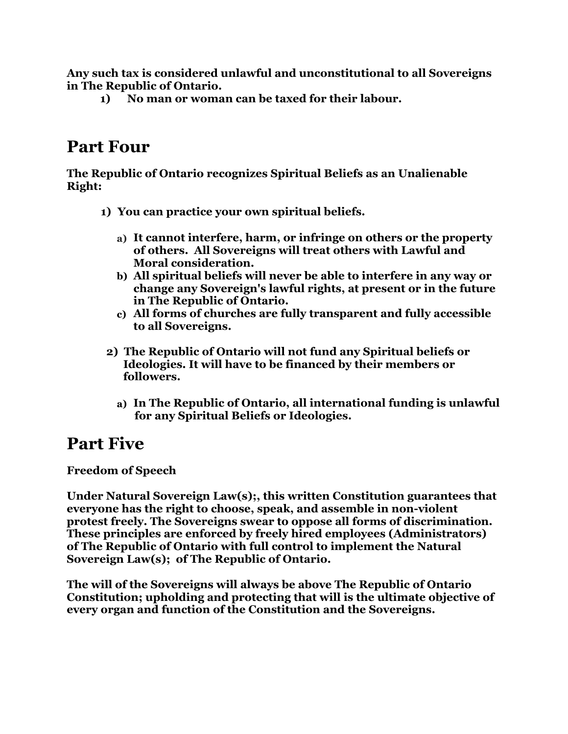**Any such tax is considered unlawful and unconstitutional to all Sovereigns in The Republic of Ontario.**

**1) No man or woman can be taxed for their labour.** 

### **Part Four**

**The Republic of Ontario recognizes Spiritual Beliefs as an Unalienable Right:**

- **1) You can practice your own spiritual beliefs.**
	- **a) It cannot interfere, harm, or infringe on others or the property of others. All Sovereigns will treat others with Lawful and Moral consideration.**
	- **b) All spiritual beliefs will never be able to interfere in any way or change any Sovereign's lawful rights, at present or in the future in The Republic of Ontario.**
	- **c) All forms of churches are fully transparent and fully accessible to all Sovereigns.**
- **2) The Republic of Ontario will not fund any Spiritual beliefs or Ideologies. It will have to be financed by their members or followers.**
	- **a) In The Republic of Ontario, all international funding is unlawful for any Spiritual Beliefs or Ideologies.**

### **Part Five**

**Freedom of Speech**

**Under Natural Sovereign Law(s);, this written Constitution guarantees that everyone has the right to choose, speak, and assemble in non-violent protest freely. The Sovereigns swear to oppose all forms of discrimination. These principles are enforced by freely hired employees (Administrators) of The Republic of Ontario with full control to implement the Natural Sovereign Law(s); of The Republic of Ontario.**

**The will of the Sovereigns will always be above The Republic of Ontario Constitution; upholding and protecting that will is the ultimate objective of every organ and function of the Constitution and the Sovereigns.**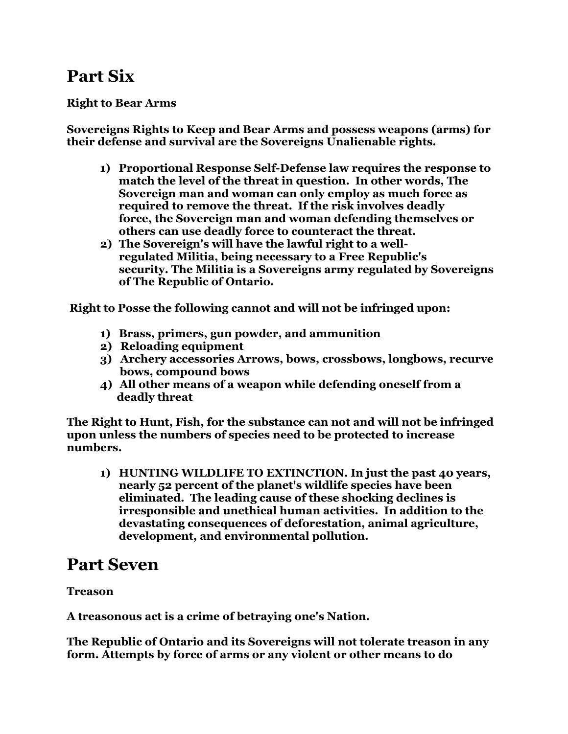## **Part Six**

#### **Right to Bear Arms**

**Sovereigns Rights to Keep and Bear Arms and possess weapons (arms) for their defense and survival are the Sovereigns Unalienable rights.**

- **1) Proportional Response Self-Defense law requires the response to match the level of the threat in question. In other words, The Sovereign man and woman can only employ as much force as required to remove the threat. If the risk involves deadly force, the Sovereign man and woman defending themselves or others can use deadly force to counteract the threat.**
- **2) The Sovereign's will have the lawful right to a wellregulated Militia, being necessary to a Free Republic's security. The Militia is a Sovereigns army regulated by Sovereigns of The Republic of Ontario.**

 **Right to Posse the following cannot and will not be infringed upon:**

- **1) Brass, primers, gun powder, and ammunition**
- **2) Reloading equipment**
- **3) Archery accessories Arrows, bows, crossbows, longbows, recurve bows, compound bows**
- **4) All other means of a weapon while defending oneself from a deadly threat**

**The Right to Hunt, Fish, for the substance can not and will not be infringed upon unless the numbers of species need to be protected to increase numbers.**

**1) HUNTING WILDLIFE TO EXTINCTION. In just the past 40 years, nearly 52 percent of the planet's wildlife species have been eliminated. The leading cause of these shocking declines is irresponsible and unethical human activities. In addition to the devastating consequences of deforestation, animal agriculture, development, and environmental pollution.**

#### **Part Seven**

#### **Treason**

**A treasonous act is a crime of betraying one's Nation.**

**The Republic of Ontario and its Sovereigns will not tolerate treason in any form. Attempts by force of arms or any violent or other means to do**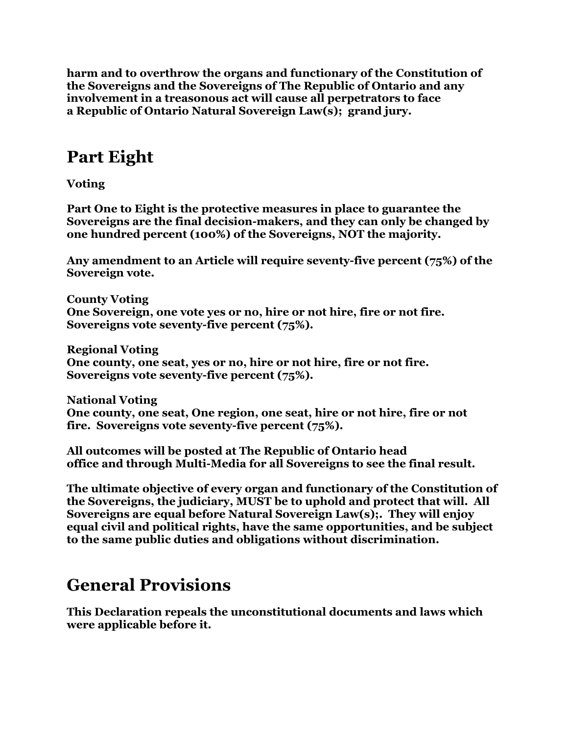**harm and to overthrow the organs and functionary of the Constitution of the Sovereigns and the Sovereigns of The Republic of Ontario and any involvement in a treasonous act will cause all perpetrators to face a Republic of Ontario Natural Sovereign Law(s); grand jury.**

## **Part Eight**

**Voting**

**Part One to Eight is the protective measures in place to guarantee the Sovereigns are the final decision-makers, and they can only be changed by one hundred percent (100%) of the Sovereigns, NOT the majority.**

**Any amendment to an Article will require seventy-five percent (75%) of the Sovereign vote.**

**County Voting One Sovereign, one vote yes or no, hire or not hire, fire or not fire. Sovereigns vote seventy-five percent (75%).**

**Regional Voting One county, one seat, yes or no, hire or not hire, fire or not fire. Sovereigns vote seventy-five percent (75%).**

**National Voting One county, one seat, One region, one seat, hire or not hire, fire or not fire. Sovereigns vote seventy-five percent (75%).**

**All outcomes will be posted at The Republic of Ontario head office and through Multi-Media for all Sovereigns to see the final result.**

**The ultimate objective of every organ and functionary of the Constitution of the Sovereigns, the judiciary, MUST be to uphold and protect that will. All Sovereigns are equal before Natural Sovereign Law(s);. They will enjoy equal civil and political rights, have the same opportunities, and be subject to the same public duties and obligations without discrimination.**

### **General Provisions**

**This Declaration repeals the unconstitutional documents and laws which were applicable before it.**